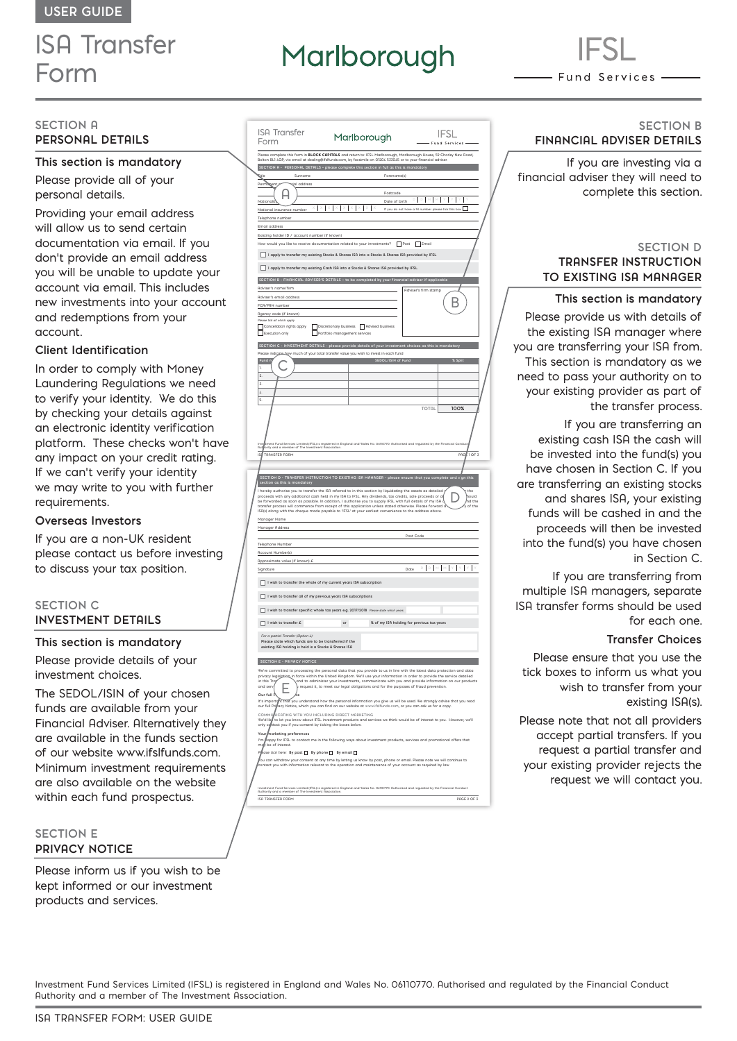## ISA Transfer Form

# Marlborough

- Fund Services -

#### **SECTION A PERSONAL DETAILS**

#### **This section is mandatory**

Please provide all of your personal details.

Providing your email address will allow us to send certain documentation via email. If you don't provide an email address you will be unable to update your account via email. This includes new investments into your account and redemptions from your account.

#### **Client Identification**

In order to comply with Money Laundering Regulations we need to verify your identity. We do this by checking your details against an electronic identity verification platform. These checks won't have any impact on your credit rating. If we can't verify your identity we may write to you with further requirements.

#### **Overseas Investors**

If you are a non-UK resident please contact us before investing to discuss your tax position.

#### **SECTION C INVESTMENT DETAILS**

#### **This section is mandatory**

Please provide details of your investment choices.

The SEDOL/ISIN of your chosen funds are available from your Financial Adviser. Alternatively they are available in the funds section of our website www.ifslfunds.com. Minimum investment requirements are also available on the website within each fund prospectus.

#### **SECTION E PRIVACY NOTICE**

Please inform us if you wish to be kept informed or our investment products and services.

| Form                                                                                                           | Marlborough                                                                                                                                                                                                                               | IFSL<br>Fund Services                      |
|----------------------------------------------------------------------------------------------------------------|-------------------------------------------------------------------------------------------------------------------------------------------------------------------------------------------------------------------------------------------|--------------------------------------------|
|                                                                                                                | .<br>Please complete this form in <b>BLOCK CAPITALS</b> and return to: IFSL Mariborough, Mariborough House, 59 Chorley New Road,<br>Bolton BLI 4QP, via email at dealing@ifsifunds.com, by facsimile on 01204 533045 or to your financial |                                            |
|                                                                                                                | SECTION A - PERSONAL DETAILS - please complete this section in full as this is mandatory                                                                                                                                                  |                                            |
| <b>Sigle</b><br>Surname                                                                                        | Forename(s)                                                                                                                                                                                                                               |                                            |
| Perr<br>ige.<br>al address                                                                                     | Postcode                                                                                                                                                                                                                                  |                                            |
| ŀ<br>Nationa                                                                                                   | Date of birth                                                                                                                                                                                                                             | I                                          |
| tional insurance number<br>N                                                                                   | $\times$<br>I<br>x<br>I<br>If yo<br>udo not be                                                                                                                                                                                            | Г                                          |
| Telephone numbe                                                                                                |                                                                                                                                                                                                                                           |                                            |
| ail address<br>Eπ                                                                                              |                                                                                                                                                                                                                                           |                                            |
| Existing holder ID / account number (if know                                                                   |                                                                                                                                                                                                                                           |                                            |
| ц.                                                                                                             | v would you like to receive documentation related to your investments? Dost Demail                                                                                                                                                        |                                            |
|                                                                                                                | I apply to transfer my existing Stocks & Shares ISA into a Stocks & Shares ISA provided by IFSL                                                                                                                                           |                                            |
| ſ                                                                                                              | I apply to transfer my existing Cash ISR into a Stocks & Shares ISR provided by IFSL                                                                                                                                                      |                                            |
|                                                                                                                | SECTION B - FINANCIAL ADVISER'S DETAILS - to be completed by your financial adviser if applicat                                                                                                                                           |                                            |
| Adviser's name/firm                                                                                            |                                                                                                                                                                                                                                           | Rdviser's firm stamp                       |
| Adviser's email address                                                                                        |                                                                                                                                                                                                                                           |                                            |
| FCA/FRN number                                                                                                 |                                                                                                                                                                                                                                           | Β                                          |
| Rgency code (if known)<br>se tick all which apply                                                              |                                                                                                                                                                                                                                           |                                            |
| Cancellation rights apply<br>Г<br>г                                                                            | Discretionary business Advised business                                                                                                                                                                                                   |                                            |
| Execution only                                                                                                 | Portfolio management services                                                                                                                                                                                                             |                                            |
|                                                                                                                | SECTION C - INVESTMENT DETAILS - please provide details of your investment choices as this is mandatory                                                                                                                                   |                                            |
| pie<br>ase indice                                                                                              | how much of your total transfer value you wish to invest in each fund                                                                                                                                                                     |                                            |
| Fund n<br>ï                                                                                                    | SEDOL/ISIN of Fund                                                                                                                                                                                                                        | % Solit                                    |
| $\overline{2}$                                                                                                 |                                                                                                                                                                                                                                           |                                            |
| 3                                                                                                              |                                                                                                                                                                                                                                           |                                            |
| $\overline{a}$                                                                                                 |                                                                                                                                                                                                                                           |                                            |
| ś                                                                                                              |                                                                                                                                                                                                                                           | TOTAL                                      |
|                                                                                                                |                                                                                                                                                                                                                                           | 100%                                       |
|                                                                                                                |                                                                                                                                                                                                                                           |                                            |
|                                                                                                                |                                                                                                                                                                                                                                           |                                            |
|                                                                                                                | nd Services Limited (IFSL) is registered in England and Wales No. 06110770. Authorised and regulated by the Fi<br>a member of The Investment Association.                                                                                 |                                            |
| rity o<br>dan<br>īs<br>TRANSFER FORM                                                                           |                                                                                                                                                                                                                                           | 10F <sub>3</sub><br>pac                    |
|                                                                                                                |                                                                                                                                                                                                                                           |                                            |
|                                                                                                                |                                                                                                                                                                                                                                           |                                            |
| n as this is ma<br>sectio                                                                                      | SECTION D - TRANSFER INSTRUCTION TO EXISTING ISA MANAGER - please ensure that you c                                                                                                                                                       |                                            |
|                                                                                                                | I hereby authorise you to transfer the ISA referred to in this section by liquidating the assets as detailed                                                                                                                              | the<br>ould                                |
|                                                                                                                | The interval and the distinct with the interval of the INC and the proceeds with any additional cash held in my [\$R to IFSL. Any dividends, tax credits, sale proceeds or of provided as soon as possible. In additional cash            | nd the<br>of the                           |
|                                                                                                                |                                                                                                                                                                                                                                           |                                            |
| Manager Name                                                                                                   |                                                                                                                                                                                                                                           |                                            |
| Manager Address                                                                                                |                                                                                                                                                                                                                                           |                                            |
|                                                                                                                |                                                                                                                                                                                                                                           | Post Code                                  |
| Telephone Number<br><b>Account Number(s)</b>                                                                   |                                                                                                                                                                                                                                           |                                            |
| Approximate value (if known) £                                                                                 |                                                                                                                                                                                                                                           |                                            |
|                                                                                                                |                                                                                                                                                                                                                                           | $\vert \vee \vert$<br>мТ<br>MY<br>Date     |
|                                                                                                                |                                                                                                                                                                                                                                           |                                            |
| I wish to transfer the whole of my current years ISA subscription                                              |                                                                                                                                                                                                                                           |                                            |
| $\overline{\phantom{a}}$ I wish to transfer all of my previous years ISA subscriptions                         |                                                                                                                                                                                                                                           |                                            |
|                                                                                                                | I wish to transfer specific whole tax years e.g. 2017/2018 Please state which years                                                                                                                                                       |                                            |
|                                                                                                                |                                                                                                                                                                                                                                           |                                            |
| I wish to transfer £<br>Г                                                                                      | $\circ$                                                                                                                                                                                                                                   | % of my ISA holding for previous tax years |
| For a partial Transfer (Option 4):                                                                             |                                                                                                                                                                                                                                           |                                            |
| Please state which funds are to be transferred if the<br>existing ISA holding is held is a Stocks & Shares ISA |                                                                                                                                                                                                                                           |                                            |
| SECTION E - PRIVACY NOTICE                                                                                     |                                                                                                                                                                                                                                           |                                            |
|                                                                                                                | We're committed to processing the personal data that you provide to us in line with the latest data protection and data                                                                                                                   |                                            |
| privacy legisjat<br>in this Tra                                                                                | an in force within the United Kingdom. We'll use your information in order to provide the service detailed<br>and to administer your investments, communicate with you and provide information on our products.                           |                                            |
|                                                                                                                | request it, to meet our legal obligations and for the purposes of fraud prevention                                                                                                                                                        |                                            |
| and ser<br>E                                                                                                   |                                                                                                                                                                                                                                           |                                            |
| e full P<br>$\alpha$<br>ı.                                                                                     |                                                                                                                                                                                                                                           |                                            |
| It's importe<br>our full Pri                                                                                   | .<br>Int that you understand how the personal information you give us will be used. We strongly advise that you read<br>acy Notice, which you can find on our website at www.ifsifunds.com, or you can ask us for a copy.                 |                                            |
| <b>ICATING WITH YOU INCLUDING DIRECT MARKETING</b><br><b>COMM</b><br>We'd lik                                  |                                                                                                                                                                                                                                           |                                            |
| only c                                                                                                         | ,<br>to let you know about IFSL investment products and services we think would be of interest to you. However, we'll<br>tact you if you consent by ticking the boxes below.                                                              |                                            |
| Ya<br>narketing preferences                                                                                    |                                                                                                                                                                                                                                           |                                            |
| ľm<br>be of interest.<br>m                                                                                     | appy for IFSL to contact me in the following ways about investment products, services and promotional offers that                                                                                                                         |                                            |

You can withdraw your consent at any time by letting us know by post, phone or email. Please note we will continue to contact you with information relevant to the operation and maintenance of your account as required by law.

ISA TRANSFER FORM PAGE 2 OF 3 Investment Fund Services Limited (IFSL) is registered in England and Wales No. 06110770. Authorised and regulated by the Financial Conduct Authority and a member of The Investment Association.

#### **SECTION B FINANCIAL ADVISER DETAILS**

If you are investing via a financial adviser they will need to complete this section.

#### **SECTION D TRANSFER INSTRUCTION TO EXISTING ISA MANAGER**

**This section is mandatory** 

Please provide us with details of the existing ISA manager where you are transferring your ISA from. This section is mandatory as we need to pass your authority on to your existing provider as part of the transfer process.

If you are transferring an existing cash ISA the cash will be invested into the fund(s) you have chosen in Section C. If you are transferring an existing stocks and shares ISA, your existing funds will be cashed in and the proceeds will then be invested into the fund(s) you have chosen in Section C.

If you are transferring from multiple ISA managers, separate ISA transfer forms should be used for each one.

#### **Transfer Choices**

Please ensure that you use the tick boxes to inform us what you wish to transfer from your existing ISA(s).

Please note that not all providers accept partial transfers. If you request a partial transfer and your existing provider rejects the request we will contact you.

Investment Fund Services Limited (IFSL) is registered in England and Wales No. 06110770. Authorised and regulated by the Financial Conduct Authority and a member of The Investment Association.